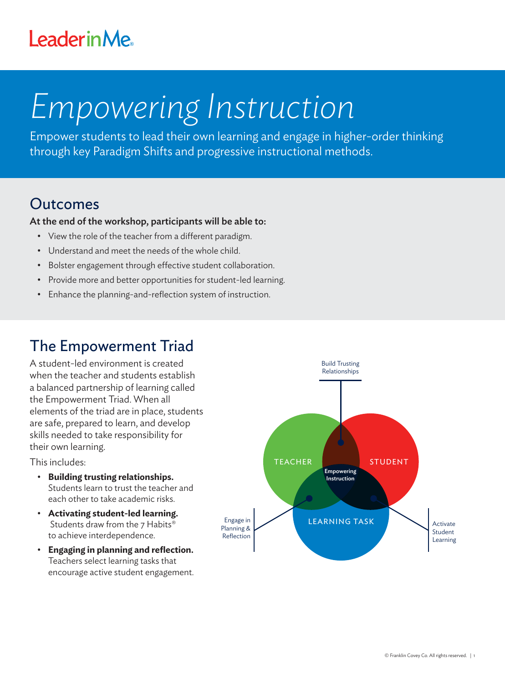## **LeaderinMe**

# *Empowering Instruction*

Empower students to lead their own learning and engage in higher-order thinking through key Paradigm Shifts and progressive instructional methods.

#### Outcomes

#### At the end of the workshop, participants will be able to:

- View the role of the teacher from a different paradigm.
- Understand and meet the needs of the whole child.
- Bolster engagement through effective student collaboration.
- Provide more and better opportunities for student-led learning.
- Enhance the planning-and-reflection system of instruction.

#### The Empowerment Triad

A student-led environment is created when the teacher and students establish a balanced partnership of learning called the Empowerment Triad. When all elements of the triad are in place, students are safe, prepared to learn, and develop skills needed to take responsibility for their own learning.

This includes:

- **Building trusting relationships.** Students learn to trust the teacher and each other to take academic risks.
- **Activating student-led learning.** Students draw from the 7 Habits<sup>®</sup> to achieve interdependence.
- **Engaging in planning and reflection.**  Teachers select learning tasks that encourage active student engagement.